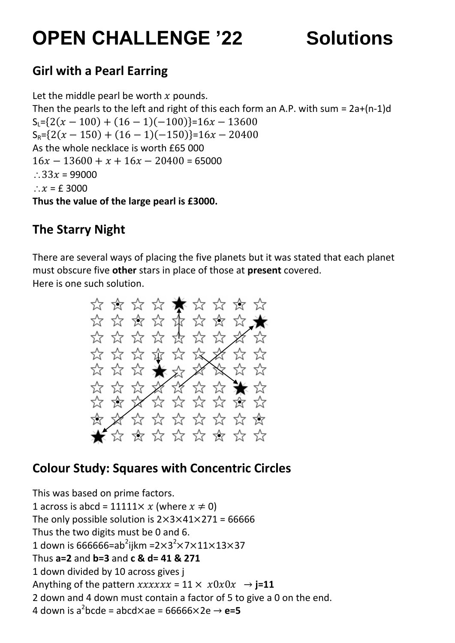# **OPEN CHALLENGE '22 Solutions**

# **Girl with a Pearl Earring**

Let the middle pearl be worth  $x$  pounds. Then the pearls to the left and right of this each form an A.P. with sum =  $2a+(n-1)d$  $S_1 = \{2(x - 100) + (16 - 1)(-100)\} = 16x - 13600$  $S_R = \{2(x - 150) + (16 - 1)(-150)\} = 16x - 20400$ As the whole necklace is worth £65 000  $16x - 13600 + x + 16x - 20400 = 65000$  $: 33x = 99000$  $\therefore$   $x =$  £ 3000 **Thus the value of the large pearl is £3000.**

# **The Starry Night**

There are several ways of placing the five planets but it was stated that each planet must obscure five **other** stars in place of those at **present** covered. Here is one such solution.



# **Colour Study: Squares with Concentric Circles**

This was based on prime factors. 1 across is abcd = 11111 $\times x$  (where  $x \neq 0$ ) The only possible solution is  $2 \times 3 \times 41 \times 271 = 66666$ Thus the two digits must be 0 and 6. 1 down is 666666=ab<sup>2</sup>ijkm =2 $\times$ 3<sup>2</sup> $\times$ 7 $\times$ 11 $\times$ 13 $\times$ 37 Thus **a=2** and **b=3** and **c & d= 41 & 271** 1 down divided by 10 across gives j Anything of the pattern  $xxxxxx = 11 \times x0x0x \rightarrow j=11$ 2 down and 4 down must contain a factor of 5 to give a 0 on the end. 4 down is a<sup>2</sup>bcde = abcd $\times$ ae = 66666 $\times$ 2e  $\rightarrow$  **e=5**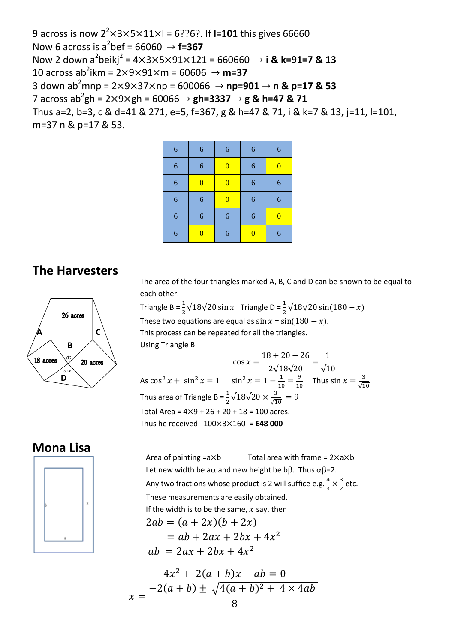9 across is now 2<sup>2</sup> $\times$ 3 $\times$ 5 $\times$ 11 $\times$ l = 6??6?. If **l=101** this gives 66660 Now 6 across is a<sup>2</sup>bef = 66060  $\rightarrow$  **f=367** Now 2 down a<sup>2</sup>beikj<sup>2</sup> = 4×3×5×91×121 = 660660 → **i & k=91=7 & 13**  $10$  across ab<sup>2</sup>ikm = 2 $\times$ 9 $\times$ 91 $\times$ m = 60606  $\rightarrow$  **m=37** 3 down ab<sup>2</sup>mnp =  $2 \times 9 \times 37 \times$ np = 600066  $\rightarrow$  np=901  $\rightarrow$  n & p=17 & 53  $7$  across ab $^{2}$ gh = 2 $\times$ 9 $\times$ gh = 60066  $\rightarrow$  **gh=3337**  $\rightarrow$  **g & h=47 & 71** Thus a=2, b=3, c & d=41 & 271, e=5, f=367, g & h=47 & 71, i & k=7 & 13, j=11, l=101, m=37 n & p=17 & 53.

| 6 | 6              | 6              | 6              | 6              |
|---|----------------|----------------|----------------|----------------|
| 6 | 6              | $\overline{0}$ | 6              | $\overline{0}$ |
| 6 | $\overline{0}$ | $\overline{0}$ | 6              | 6              |
| 6 | 6              | $\overline{0}$ | 6              | 6              |
| 6 | 6              | 6              | 6              | $\bf{0}$       |
| 6 | $\bf{0}$       | 6              | $\overline{0}$ | 6              |

#### **The Harvesters**

26 acres **C A B x** 18 acre 20 acres 180-**xD**

The area of the four triangles marked A, B, C and D can be shown to be equal to each other.

Triangle B =  $\frac{1}{2}\sqrt{18}\sqrt{20}$  sin x Triangle D =  $\frac{1}{2}\sqrt{20}$ 

These two equations are equal as  $\sin x = \sin(180 - x)$ . This process can be repeated for all the triangles. Using Triangle B

 $\mathbf{C}$  $\mathbf{1}$  $\overline{c}$  $=$  $\mathbf{1}$  $\sqrt{ }$ As  $\cos^2 x + \sin^2 x = 1$   $\sin^2 x = 1 - \frac{1}{10}$  $\frac{1}{10} = \frac{9}{10}$  $rac{9}{10}$  Thus sin  $x = \frac{3}{\sqrt{1}}$  $\sqrt{}$ Thus area of Triangle B =  $\frac{1}{2}\sqrt{18}\sqrt{20} \times \frac{3}{\sqrt{1}}$  $\frac{3}{\sqrt{10}}$  = Total Area =  $4 \times 9 + 26 + 20 + 18 = 100$  acres. Thus he received  $100 \times 3 \times 160 =$ **£48 000** 

#### **Mona Lisa**



 $2ab = (a + 2x)(b + 2x)$ Area of painting  $= a \times b$  Total area with frame =  $2 \times a \times b$ Let new width be a $\alpha$  and new height be b $\beta$ . Thus  $\alpha\beta$ =2. Any two fractions whose product is 2 will suffice e.g.  $\frac{4}{3}$  $rac{4}{3} \times \frac{3}{2}$  $\frac{3}{2}$  etc. These measurements are easily obtained. If the width is to be the same,  $x$  say, then

$$
= ab + 2ax + 2bx + 4x2
$$
  
ab = 2ax + 2bx + 4x<sup>2</sup>

$$
4x2 + 2(a + b)x - ab = 0
$$
  

$$
x = \frac{-2(a + b) \pm \sqrt{4(a + b)^{2} + 4 \times 4ab}}{8}
$$